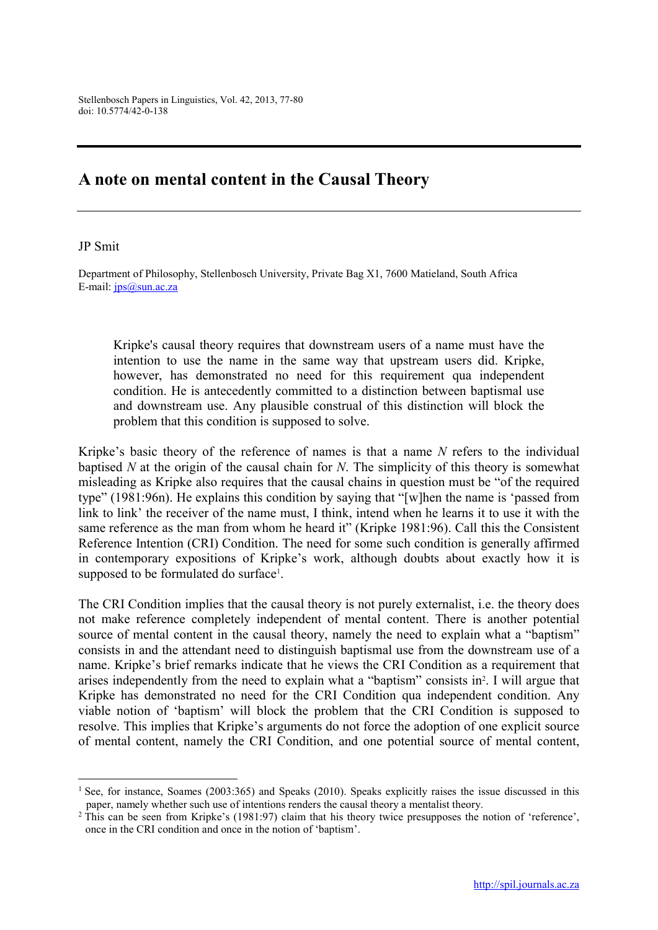## A note on mental content in the Causal Theory

## JP Smit

**.** 

Department of Philosophy, Stellenbosch University, Private Bag X1, 7600 Matieland, South Africa E-mail: jps@sun.ac.za

Kripke's causal theory requires that downstream users of a name must have the intention to use the name in the same way that upstream users did. Kripke, however, has demonstrated no need for this requirement qua independent condition. He is antecedently committed to a distinction between baptismal use and downstream use. Any plausible construal of this distinction will block the problem that this condition is supposed to solve.

Kripke's basic theory of the reference of names is that a name *N* refers to the individual baptised *N* at the origin of the causal chain for *N*. The simplicity of this theory is somewhat misleading as Kripke also requires that the causal chains in question must be "of the required type" (1981:96n). He explains this condition by saying that "[w]hen the name is 'passed from link to link' the receiver of the name must, I think, intend when he learns it to use it with the same reference as the man from whom he heard it" (Kripke 1981:96). Call this the Consistent Reference Intention (CRI) Condition. The need for some such condition is generally affirmed in contemporary expositions of Kripke's work, although doubts about exactly how it is supposed to be formulated do surface<sup>1</sup>.

The CRI Condition implies that the causal theory is not purely externalist, i.e. the theory does not make reference completely independent of mental content. There is another potential source of mental content in the causal theory, namely the need to explain what a "baptism" consists in and the attendant need to distinguish baptismal use from the downstream use of a name. Kripke's brief remarks indicate that he views the CRI Condition as a requirement that arises independently from the need to explain what a "baptism" consists in<sup>2</sup>. I will argue that Kripke has demonstrated no need for the CRI Condition qua independent condition. Any viable notion of 'baptism' will block the problem that the CRI Condition is supposed to resolve. This implies that Kripke's arguments do not force the adoption of one explicit source of mental content, namely the CRI Condition, and one potential source of mental content,

<sup>&</sup>lt;sup>1</sup> See, for instance, Soames (2003:365) and Speaks (2010). Speaks explicitly raises the issue discussed in this paper, namely whether such use of intentions renders the causal theory a mentalist theory.

<sup>&</sup>lt;sup>2</sup> This can be seen from Kripke's (1981:97) claim that his theory twice presupposes the notion of 'reference', once in the CRI condition and once in the notion of 'baptism'.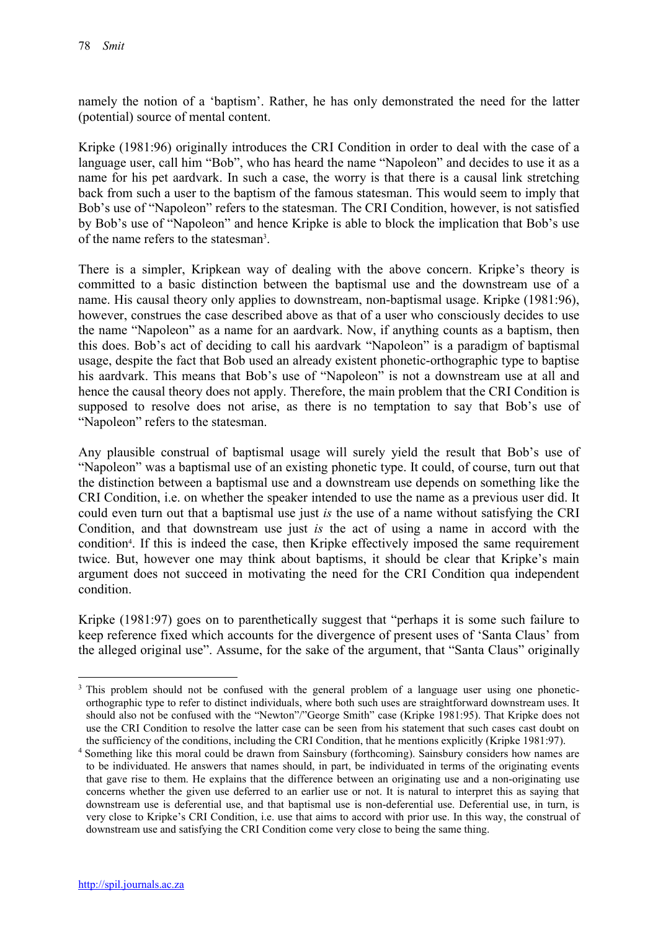namely the notion of a 'baptism'. Rather, he has only demonstrated the need for the latter (potential) source of mental content.

Kripke (1981:96) originally introduces the CRI Condition in order to deal with the case of a language user, call him "Bob", who has heard the name "Napoleon" and decides to use it as a name for his pet aardvark. In such a case, the worry is that there is a causal link stretching back from such a user to the baptism of the famous statesman. This would seem to imply that Bob's use of "Napoleon" refers to the statesman. The CRI Condition, however, is not satisfied by Bob's use of "Napoleon" and hence Kripke is able to block the implication that Bob's use of the name refers to the statesman<sup>3</sup>.

There is a simpler, Kripkean way of dealing with the above concern. Kripke's theory is committed to a basic distinction between the baptismal use and the downstream use of a name. His causal theory only applies to downstream, non-baptismal usage. Kripke (1981:96), however, construes the case described above as that of a user who consciously decides to use the name "Napoleon" as a name for an aardvark. Now, if anything counts as a baptism, then this does. Bob's act of deciding to call his aardvark "Napoleon" is a paradigm of baptismal usage, despite the fact that Bob used an already existent phonetic-orthographic type to baptise his aardvark. This means that Bob's use of "Napoleon" is not a downstream use at all and hence the causal theory does not apply. Therefore, the main problem that the CRI Condition is supposed to resolve does not arise, as there is no temptation to say that Bob's use of "Napoleon" refers to the statesman.

Any plausible construal of baptismal usage will surely yield the result that Bob's use of "Napoleon" was a baptismal use of an existing phonetic type. It could, of course, turn out that the distinction between a baptismal use and a downstream use depends on something like the CRI Condition, i.e. on whether the speaker intended to use the name as a previous user did. It could even turn out that a baptismal use just *is* the use of a name without satisfying the CRI Condition, and that downstream use just *is* the act of using a name in accord with the condition<sup>4</sup>. If this is indeed the case, then Kripke effectively imposed the same requirement twice. But, however one may think about baptisms, it should be clear that Kripke's main argument does not succeed in motivating the need for the CRI Condition qua independent condition.

Kripke (1981:97) goes on to parenthetically suggest that "perhaps it is some such failure to keep reference fixed which accounts for the divergence of present uses of 'Santa Claus' from the alleged original use". Assume, for the sake of the argument, that "Santa Claus" originally

<sup>1</sup> <sup>3</sup> This problem should not be confused with the general problem of a language user using one phoneticorthographic type to refer to distinct individuals, where both such uses are straightforward downstream uses. It should also not be confused with the "Newton"/"George Smith" case (Kripke 1981:95). That Kripke does not use the CRI Condition to resolve the latter case can be seen from his statement that such cases cast doubt on the sufficiency of the conditions, including the CRI Condition, that he mentions explicitly (Kripke 1981:97).

<sup>4</sup> Something like this moral could be drawn from Sainsbury (forthcoming). Sainsbury considers how names are to be individuated. He answers that names should, in part, be individuated in terms of the originating events that gave rise to them. He explains that the difference between an originating use and a non-originating use concerns whether the given use deferred to an earlier use or not. It is natural to interpret this as saying that downstream use is deferential use, and that baptismal use is non-deferential use. Deferential use, in turn, is very close to Kripke's CRI Condition, i.e. use that aims to accord with prior use. In this way, the construal of downstream use and satisfying the CRI Condition come very close to being the same thing.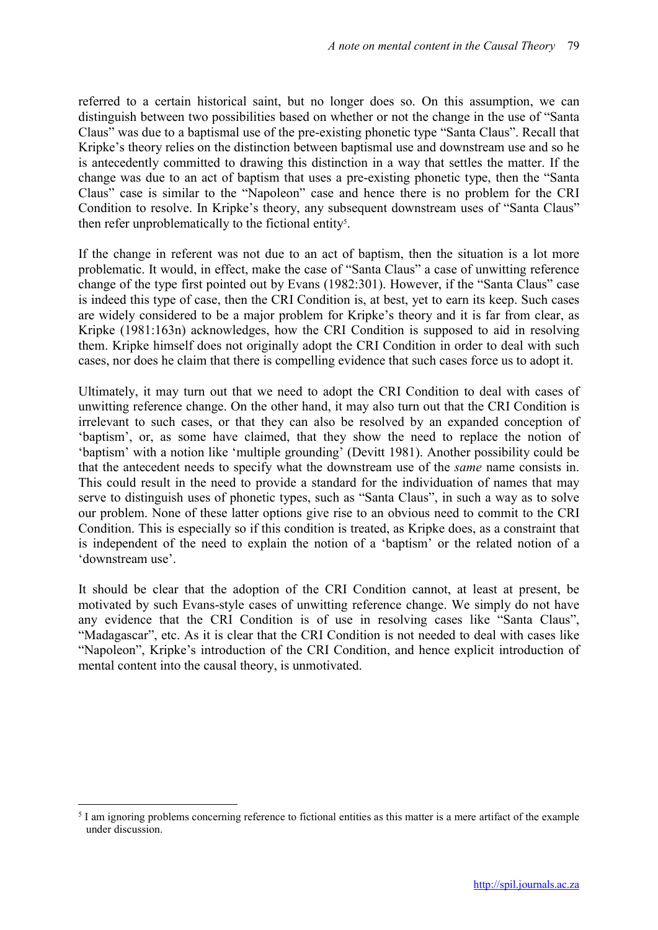referred to a certain historical saint, but no longer does so. On this assumption, we can distinguish between two possibilities based on whether or not the change in the use of "Santa Claus" was due to a baptismal use of the pre-existing phonetic type "Santa Claus". Recall that Kripke's theory relies on the distinction between baptismal use and downstream use and so he is antecedently committed to drawing this distinction in a way that settles the matter. If the change was due to an act of baptism that uses a pre-existing phonetic type, then the "Santa Claus" case is similar to the "Napoleon" case and hence there is no problem for the CRI Condition to resolve. In Kripke's theory, any subsequent downstream uses of "Santa Claus" then refer unproblematically to the fictional entity<sup>5</sup>.

If the change in referent was not due to an act of baptism, then the situation is a lot more problematic. It would, in effect, make the case of "Santa Claus" a case of unwitting reference change of the type first pointed out by Evans (1982:301). However, if the "Santa Claus" case is indeed this type of case, then the CRI Condition is, at best, yet to earn its keep. Such cases are widely considered to be a major problem for Kripke's theory and it is far from clear, as Kripke (1981:163n) acknowledges, how the CRI Condition is supposed to aid in resolving them. Kripke himself does not originally adopt the CRI Condition in order to deal with such cases, nor does he claim that there is compelling evidence that such cases force us to adopt it.

Ultimately, it may turn out that we need to adopt the CRI Condition to deal with cases of unwitting reference change. On the other hand, it may also turn out that the CRI Condition is irrelevant to such cases, or that they can also be resolved by an expanded conception of 'baptism', or, as some have claimed, that they show the need to replace the notion of 'baptism' with a notion like 'multiple grounding' (Devitt 1981). Another possibility could be that the antecedent needs to specify what the downstream use of the *same* name consists in. This could result in the need to provide a standard for the individuation of names that may serve to distinguish uses of phonetic types, such as "Santa Claus", in such a way as to solve our problem. None of these latter options give rise to an obvious need to commit to the CRI Condition. This is especially so if this condition is treated, as Kripke does, as a constraint that is independent of the need to explain the notion of a 'baptism' or the related notion of a 'downstream use'.

It should be clear that the adoption of the CRI Condition cannot, at least at present, be motivated by such Evans-style cases of unwitting reference change. We simply do not have any evidence that the CRI Condition is of use in resolving cases like "Santa Claus", "Madagascar", etc. As it is clear that the CRI Condition is not needed to deal with cases like "Napoleon", Kripke's introduction of the CRI Condition, and hence explicit introduction of mental content into the causal theory, is unmotivated.

1

 $<sup>5</sup>$  I am ignoring problems concerning reference to fictional entities as this matter is a mere artifact of the example</sup> under discussion.